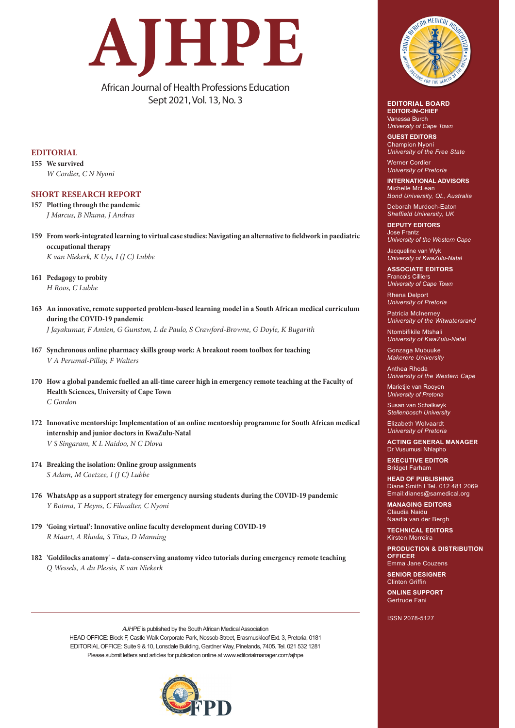

African Journal of Health Professions Education Sept 2021, Vol. 13, No. 3

## **EDITORIAL**

**155 We survived** *W Cordier, C N Nyoni*

## **SHORT RESEARCH REPORT**

- **157 Plotting through the pandemic** *J Marcus, B Nkuna, J Andras*
- **159 From work-integrated learning to virtual case studies: Navigating an alternative to fieldwork in paediatric occupational therapy** *K van Niekerk, K Uys, I (J C) Lubbe*
- **161 Pedagogy to probity**  *H Roos, C Lubbe*
- **163 An innovative, remote supported problem-based learning model in a South African medical curriculum during the COVID-19 pandemic** *J Jayakumar, F Amien, G Gunston, L de Paulo, S Crawford-Browne, G Doyle, K Bugarith*
- **167 Synchronous online pharmacy skills group work: A breakout room toolbox for teaching** *V A Perumal-Pillay, F Walters*
- **170 How a global pandemic fuelled an all-time career high in emergency remote teaching at the Faculty of Health Sciences, University of Cape Town** *C Gordon*
- **172 Innovative mentorship: Implementation of an online mentorship programme for South African medical internship and junior doctors in KwaZulu-Natal** *V S Singaram, K L Naidoo, N C Dlova*
- **174 Breaking the isolation: Online group assignments**  *S Adam, M Coetzee, I (J C) Lubbe*
- **176 WhatsApp as a support strategy for emergency nursing students during the COVID‐19 pandemic** *Y Botma, T Heyns, C Filmalter, C Nyoni*
- **179 'Going virtual': Innovative online faculty development during COVID‐19** *R Maart, A Rhoda, S Titus, D Manning*
- **182 'Goldilocks anatomy' data-conserving anatomy video tutorials during emergency remote teaching**  *Q Wessels, A du Plessis, K van Niekerk*

*AJHPE* is published by the South African Medical Association HEAD OFFICE: Block F, Castle Walk Corporate Park, Nossob Street, Erasmuskloof Ext. 3, Pretoria, 0181 EDITORIAL OFFICE: Suite 9 & 10, Lonsdale Building, Gardner Way, Pinelands, 7405. Tel. 021 532 1281 Please submit letters and articles for publication online at www.editorialmanager.com/ajhpe





## **EDITORIAL BOARD EDITOR-IN-CHIEF**

Vanessa Burch *University of Cape Town*

**GUEST EDITORS** Champion Nyoni *University of the Free State*

Werner Cordier *University of Pretoria*

**INTERNATIONAL ADVISORS** Michelle McLean *Bond University, QL, Australia*

Deborah Murdoch-Eaton *Sheffield University, UK*

**DEPUTY EDITORS** Jose Frantz *University of the Western Cape*

Jacqueline van Wyk *University of KwaZulu-Natal*

**ASSOCIATE EDITORS** Francois Cilliers *University of Cape Town*

Rhena Delport *University of Pretoria*

Patricia McInerney *University of the Witwatersrand*

Ntombifikile Mtshali *University of KwaZulu-Natal*

Gonzaga Mubuuke *Makerere University*

Anthea Rhoda *University of the Western Cape*

Marietjie van Rooyen *University of Pretoria*

Susan van Schalkwyk *Stellenbosch University*

Elizabeth Wolvaardt *University of Pretoria*

**ACTING GENERAL MANAGER** Dr Vusumusi Nhlapho

**EXECUTIVE EDITOR** Bridget Farham

**HEAD OF PUBLISHING** Diane Smith I Tel. 012 481 2069 Email:dianes@samedical.org

**MANAGING EDITORS** Claudia Naidu Naadia van der Bergh

**TECHNICAL EDITORS** Kirsten Morreira

**PRODUCTION & DISTRIBUTION OFFICER**  Emma Jane Couzens

**SENIOR DESIGNER Clinton Griffir** 

**ONLINE SUPPORT** Gertrude Fani

ISSN 2078-5127